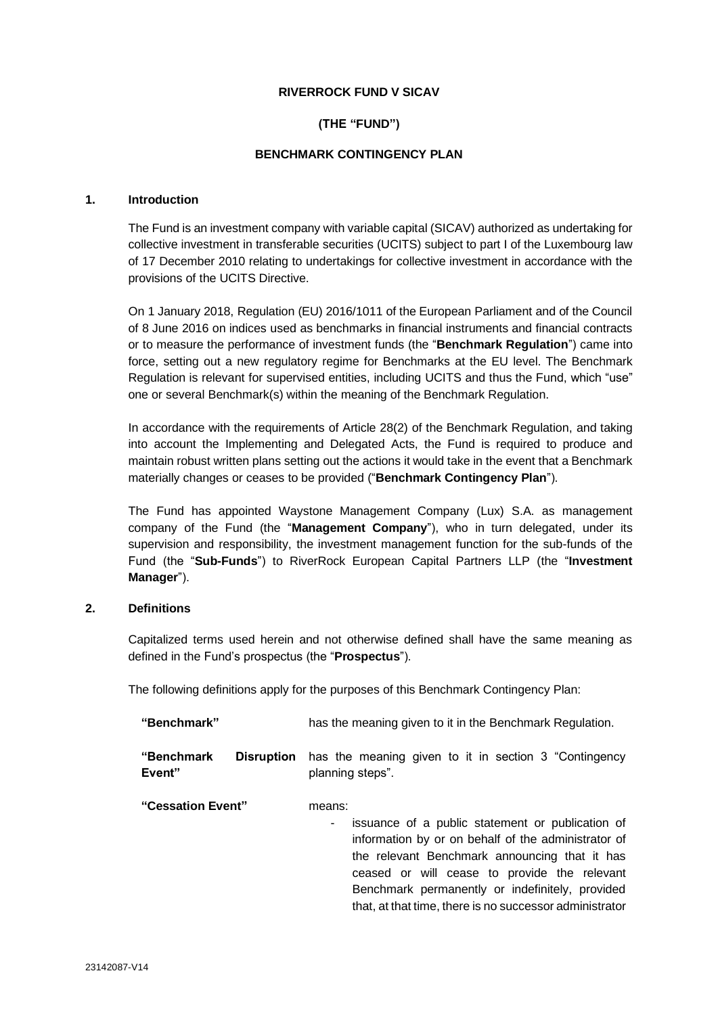#### **RIVERROCK FUND V SICAV**

# **(THE "FUND")**

# **BENCHMARK CONTINGENCY PLAN**

#### **1. Introduction**

The Fund is an investment company with variable capital (SICAV) authorized as undertaking for collective investment in transferable securities (UCITS) subject to part I of the Luxembourg law of 17 December 2010 relating to undertakings for collective investment in accordance with the provisions of the UCITS Directive.

On 1 January 2018, Regulation (EU) 2016/1011 of the European Parliament and of the Council of 8 June 2016 on indices used as benchmarks in financial instruments and financial contracts or to measure the performance of investment funds (the "**Benchmark Regulation**") came into force, setting out a new regulatory regime for Benchmarks at the EU level. The Benchmark Regulation is relevant for supervised entities, including UCITS and thus the Fund, which "use" one or several Benchmark(s) within the meaning of the Benchmark Regulation.

In accordance with the requirements of Article 28(2) of the Benchmark Regulation, and taking into account the Implementing and Delegated Acts, the Fund is required to produce and maintain robust written plans setting out the actions it would take in the event that a Benchmark materially changes or ceases to be provided ("**Benchmark Contingency Plan**").

The Fund has appointed Waystone Management Company (Lux) S.A. as management company of the Fund (the "**Management Company**"), who in turn delegated, under its supervision and responsibility, the investment management function for the sub-funds of the Fund (the "**Sub-Funds**") to RiverRock European Capital Partners LLP (the "**Investment Manager**").

# **2. Definitions**

Capitalized terms used herein and not otherwise defined shall have the same meaning as defined in the Fund's prospectus (the "**Prospectus**").

The following definitions apply for the purposes of this Benchmark Contingency Plan:

| "Benchmark"          |                   | has the meaning given to it in the Benchmark Regulation.                                                                                                                                                                                                                                                                              |
|----------------------|-------------------|---------------------------------------------------------------------------------------------------------------------------------------------------------------------------------------------------------------------------------------------------------------------------------------------------------------------------------------|
| "Benchmark<br>Event" | <b>Disruption</b> | has the meaning given to it in section 3 "Contingency<br>planning steps".                                                                                                                                                                                                                                                             |
| "Cessation Event"    |                   | means:<br>issuance of a public statement or publication of<br>۰<br>information by or on behalf of the administrator of<br>the relevant Benchmark announcing that it has<br>ceased or will cease to provide the relevant<br>Benchmark permanently or indefinitely, provided<br>that, at that time, there is no successor administrator |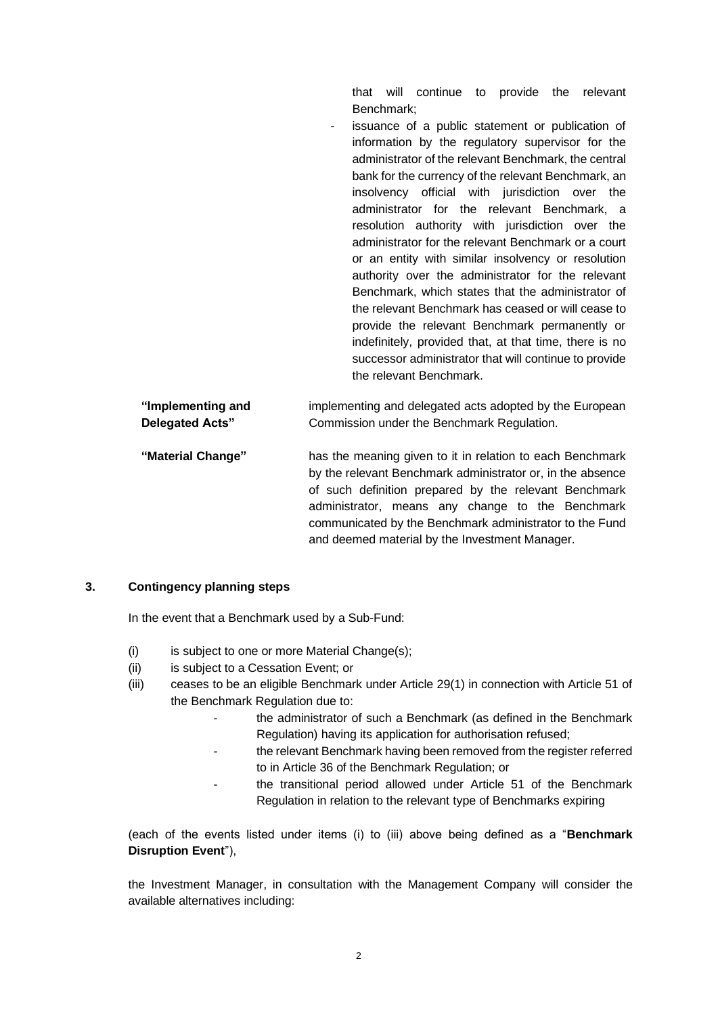that will continue to provide the relevant Benchmark;

issuance of a public statement or publication of information by the regulatory supervisor for the administrator of the relevant Benchmark, the central bank for the currency of the relevant Benchmark, an insolvency official with jurisdiction over the administrator for the relevant Benchmark, a resolution authority with jurisdiction over the administrator for the relevant Benchmark or a court or an entity with similar insolvency or resolution authority over the administrator for the relevant Benchmark, which states that the administrator of the relevant Benchmark has ceased or will cease to provide the relevant Benchmark permanently or indefinitely, provided that, at that time, there is no successor administrator that will continue to provide the relevant Benchmark.

| implementing and delegated acts adopted by the European                                                                                                                                                                                                                                                                                           |
|---------------------------------------------------------------------------------------------------------------------------------------------------------------------------------------------------------------------------------------------------------------------------------------------------------------------------------------------------|
| Commission under the Benchmark Regulation.                                                                                                                                                                                                                                                                                                        |
| has the meaning given to it in relation to each Benchmark<br>by the relevant Benchmark administrator or, in the absence<br>of such definition prepared by the relevant Benchmark<br>administrator, means any change to the Benchmark<br>communicated by the Benchmark administrator to the Fund<br>and deemed material by the Investment Manager. |
|                                                                                                                                                                                                                                                                                                                                                   |

# **3. Contingency planning steps**

In the event that a Benchmark used by a Sub-Fund:

- (i) is subject to one or more Material Change(s);
- (ii) is subject to a Cessation Event; or
- (iii) ceases to be an eligible Benchmark under Article 29(1) in connection with Article 51 of the Benchmark Regulation due to:
	- the administrator of such a Benchmark (as defined in the Benchmark Regulation) having its application for authorisation refused;
	- the relevant Benchmark having been removed from the register referred to in Article 36 of the Benchmark Regulation; or
	- the transitional period allowed under Article 51 of the Benchmark Regulation in relation to the relevant type of Benchmarks expiring

(each of the events listed under items (i) to (iii) above being defined as a "**Benchmark Disruption Event**"),

the Investment Manager, in consultation with the Management Company will consider the available alternatives including: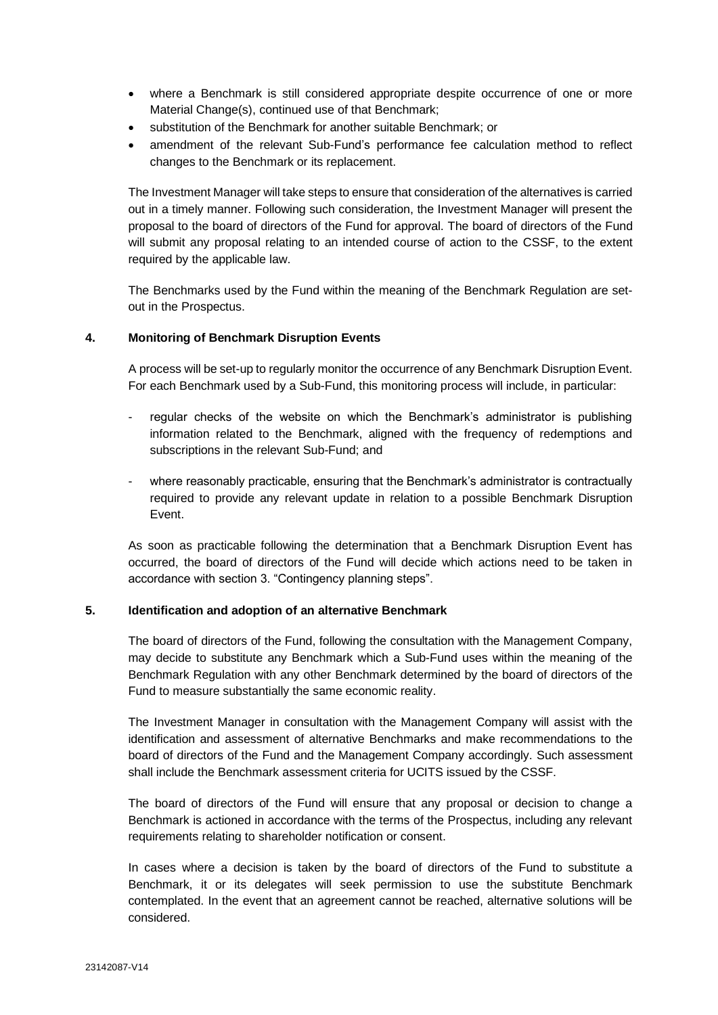- where a Benchmark is still considered appropriate despite occurrence of one or more Material Change(s), continued use of that Benchmark;
- substitution of the Benchmark for another suitable Benchmark; or
- amendment of the relevant Sub-Fund's performance fee calculation method to reflect changes to the Benchmark or its replacement.

The Investment Manager will take steps to ensure that consideration of the alternatives is carried out in a timely manner. Following such consideration, the Investment Manager will present the proposal to the board of directors of the Fund for approval. The board of directors of the Fund will submit any proposal relating to an intended course of action to the CSSF, to the extent required by the applicable law.

The Benchmarks used by the Fund within the meaning of the Benchmark Regulation are setout in the Prospectus.

# **4. Monitoring of Benchmark Disruption Events**

A process will be set-up to regularly monitor the occurrence of any Benchmark Disruption Event. For each Benchmark used by a Sub-Fund, this monitoring process will include, in particular:

- regular checks of the website on which the Benchmark's administrator is publishing information related to the Benchmark, aligned with the frequency of redemptions and subscriptions in the relevant Sub-Fund; and
- where reasonably practicable, ensuring that the Benchmark's administrator is contractually required to provide any relevant update in relation to a possible Benchmark Disruption Event.

As soon as practicable following the determination that a Benchmark Disruption Event has occurred, the board of directors of the Fund will decide which actions need to be taken in accordance with section 3. "Contingency planning steps".

# **5. Identification and adoption of an alternative Benchmark**

The board of directors of the Fund, following the consultation with the Management Company, may decide to substitute any Benchmark which a Sub-Fund uses within the meaning of the Benchmark Regulation with any other Benchmark determined by the board of directors of the Fund to measure substantially the same economic reality.

The Investment Manager in consultation with the Management Company will assist with the identification and assessment of alternative Benchmarks and make recommendations to the board of directors of the Fund and the Management Company accordingly. Such assessment shall include the Benchmark assessment criteria for UCITS issued by the CSSF.

The board of directors of the Fund will ensure that any proposal or decision to change a Benchmark is actioned in accordance with the terms of the Prospectus, including any relevant requirements relating to shareholder notification or consent.

In cases where a decision is taken by the board of directors of the Fund to substitute a Benchmark, it or its delegates will seek permission to use the substitute Benchmark contemplated. In the event that an agreement cannot be reached, alternative solutions will be considered.